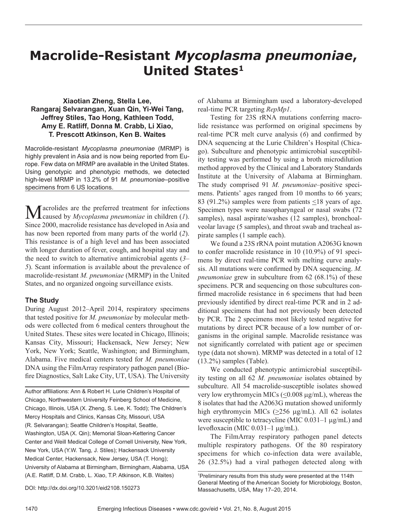# **Macrolide-Resistant** *Mycoplasma pneumoniae***, United States<sup>1</sup>**

## **Xiaotian Zheng, Stella Lee, Rangaraj Selvarangan, Xuan Qin, Yi-Wei Tang, Jeffrey Stiles, Tao Hong, Kathleen Todd, Amy E. Ratliff, Donna M. Crabb, Li Xiao, T. Prescott Atkinson, Ken B. Waites**

Macrolide-resistant *Mycoplasma pneumoniae* (MRMP) is highly prevalent in Asia and is now being reported from Europe. Few data on MRMP are available in the United States. Using genotypic and phenotypic methods, we detected high-level MRMP in 13.2% of 91 *M. pneumoniae*–positive specimens from 6 US locations.

Macrolides are the preferred treatment for infections caused by *Mycoplasma pneumoniae* in children (*1*). Since 2000, macrolide resistance has developed in Asia and has now been reported from many parts of the world (*2*). This resistance is of a high level and has been associated with longer duration of fever, cough, and hospital stay and the need to switch to alternative antimicrobial agents (*3*– *5*). Scant information is available about the prevalence of macrolide-resistant *M. pneumoniae* (MRMP) in the United States, and no organized ongoing surveillance exists.

## **The Study**

During August 2012–April 2014, respiratory specimens that tested positive for *M. pneumoniae* by molecular methods were collected from 6 medical centers throughout the United States. These sites were located in Chicago, Illinois; Kansas City, Missouri; Hackensack, New Jersey; New York, New York; Seattle, Washington; and Birmingham, Alabama. Five medical centers tested for *M. pneumoniae* DNA using the FilmArray respiratory pathogen panel (Biofire Diagnostics, Salt Lake City, UT, USA). The University

Author affiliations: Ann & Robert H. Lurie Children's Hospital of Chicago, Northwestern University Feinberg School of Medicine, Chicago, Illinois, USA (X. Zheng, S. Lee, K. Todd); The Children's Mercy Hospitals and Clinics, Kansas City, Missouri, USA (R. Selvarangan); Seattle Children's Hospital, Seattle, Washington, USA (X. Qin); Memorial Sloan-Kettering Cancer Center and Weill Medical College of Cornell University, New York, New York, USA (Y.W. Tang, J. Stiles); Hackensack University Medical Center, Hackensack, New Jersey, USA (T. Hong); University of Alabama at Birmingham, Birmingham, Alabama, USA (A.E. Ratliff, D.M. Crabb, L. Xiao, T.P. Atkinson, K.B. Waites)

of Alabama at Birmingham used a laboratory-developed real-time PCR targeting *RepMp1*.

Testing for 23S rRNA mutations conferring macrolide resistance was performed on original specimens by real-time PCR melt curve analysis (*6*) and confirmed by DNA sequencing at the Lurie Children's Hospital (Chicago). Subculture and phenotypic antimicrobial susceptibility testing was performed by using a broth microdilution method approved by the Clinical and Laboratory Standards Institute at the University of Alabama at Birmingham. The study comprised 91 *M. pneumoniae*–positive specimens. Patients' ages ranged from 10 months to 66 years; 83 (91.2%) samples were from patients <18 years of age. Specimen types were nasopharyngeal or nasal swabs (72 samples), nasal aspirate/washes (12 samples), bronchoalveolar lavage (5 samples), and throat swab and tracheal aspirate samples (1 sample each).

We found a 23S rRNA point mutation A2063G known to confer macrolide resistance in 10 (10.9%) of 91 specimens by direct real-time PCR with melting curve analysis. All mutations were confirmed by DNA sequencing. *M. pneumoniae* grew in subculture from 62 (68.1%) of these specimens. PCR and sequencing on those subcultures confirmed macrolide resistance in 6 specimens that had been previously identified by direct real-time PCR and in 2 additional specimens that had not previously been detected by PCR. The 2 specimens most likely tested negative for mutations by direct PCR because of a low number of organisms in the original sample. Macrolide resistance was not significantly correlated with patient age or specimen type (data not shown). MRMP was detected in a total of 12 (13.2%) samples (Table).

We conducted phenotypic antimicrobial susceptibility testing on all 62 *M. pneumoniae* isolates obtained by subculture. All 54 macrolide-susceptible isolates showed very low erythromycin MICs (<0.008 µg/mL), whereas the 8 isolates that had the A2063G mutation showed uniformly high erythromycin MICs ( $\geq$ 256 µg/mL). All 62 isolates were susceptible to tetracycline (MIC 0.031–1  $\mu$ g/mL) and levofloxacin (MIC 0.031–1 µg/mL).

The FilmArray respiratory pathogen panel detects multiple respiratory pathogens. Of the 80 respiratory specimens for which co-infection data were available, 26 (32.5%) had a viral pathogen detected along with

DOI: http://dx.doi.org/10.3201/eid2108.150273

<sup>1</sup> Preliminary results from this study were presented at the 114th General Meeting of the American Society for Microbiology, Boston, Massachusetts, USA, May 17–20, 2014.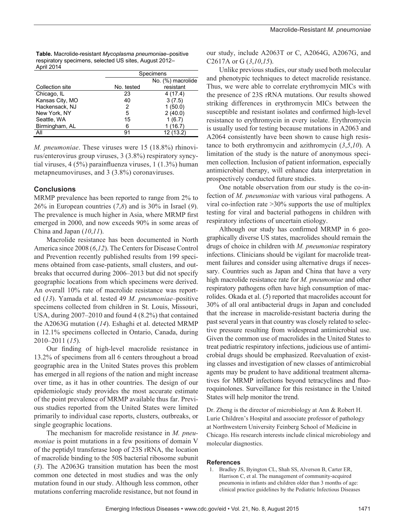| Table. Macrolide-resistant Mycoplasma pneumoniae-positive |
|-----------------------------------------------------------|
| respiratory specimens, selected US sites, August 2012-    |
| April 2014                                                |

|                 |            | Specimens         |  |
|-----------------|------------|-------------------|--|
|                 |            | No. (%) macrolide |  |
| Collection site | No. tested | resistant         |  |
| Chicago, IL     | 23         | 4(17.4)           |  |
| Kansas City, MO | 40         | 3(7.5)            |  |
| Hackensack, NJ  | 2          | 1(50.0)           |  |
| New York, NY    | 5          | 2(40.0)           |  |
| Seattle, WA     | 15         | 1(6.7)            |  |
| Birmingham, AL  | 6          | 1 (16.7)          |  |
| All             | 91         | 12 (13.2)         |  |

*M. pneumoniae*. These viruses were 15 (18.8%) rhinovirus/enterovirus group viruses, 3 (3.8%) respiratory syncytial viruses, 4 (5%) parainfluenza viruses, 1 (1.3%) human metapneumoviruses, and 3 (3.8%) coronaviruses.

## **Conclusions**

MRMP prevalence has been reported to range from 2% to 26% in European countries (*7*,*8*) and is 30% in Israel (*9*). The prevalence is much higher in Asia, where MRMP first emerged in 2000, and now exceeds 90% in some areas of China and Japan (*10*,*11*).

Macrolide resistance has been documented in North America since 2008 (*6*,*12*). The Centers for Disease Control and Prevention recently published results from 199 specimens obtained from case-patients, small clusters, and outbreaks that occurred during 2006–2013 but did not specify geographic locations from which specimens were derived. An overall 10% rate of macrolide resistance was reported (*13*). Yamada et al. tested 49 *M. pneumoniae*–positive specimens collected from children in St. Louis, Missouri, USA, during 2007–2010 and found 4 (8.2%) that contained the A2063G mutation (*14*). Eshaghi et al. detected MRMP in 12.1% specimens collected in Ontario, Canada, during 2010–2011 (*15*).

Our finding of high-level macrolide resistance in 13.2% of specimens from all 6 centers throughout a broad geographic area in the United States proves this problem has emerged in all regions of the nation and might increase over time, as it has in other countries. The design of our epidemiologic study provides the most accurate estimate of the point prevalence of MRMP available thus far. Previous studies reported from the United States were limited primarily to individual case reports, clusters, outbreaks, or single geographic locations.

The mechanism for macrolide resistance in *M. pneumoniae* is point mutations in a few positions of domain V of the peptidyl transferase loop of 23S rRNA, the location of macrolide binding to the 50S bacterial ribosome subunit (*3*). The A2063G transition mutation has been the most common one detected in most studies and was the only mutation found in our study. Although less common, other mutations conferring macrolide resistance, but not found in our study, include A2063T or C, A2064G, A2067G, and C2617A or G (*3*,*10*,*15*).

Unlike previous studies, our study used both molecular and phenotypic techniques to detect macrolide resistance. Thus, we were able to correlate erythromycin MICs with the presence of 23S rRNA mutations. Our results showed striking differences in erythromycin MICs between the susceptible and resistant isolates and confirmed high-level resistance to erythromycin in every isolate. Erythromycin is usually used for testing because mutations in A2063 and A2064 consistently have been shown to cause high resistance to both erythromycin and azithromycin (*3*,*5*,*10*). A limitation of the study is the nature of anonymous specimen collection. Inclusion of patient information, especially antimicrobial therapy, will enhance data interpretation in prospectively conducted future studies.

One notable observation from our study is the co-infection of *M. pneumoniae* with various viral pathogens. A viral co-infection rate >30% supports the use of multiplex testing for viral and bacterial pathogens in children with respiratory infections of uncertain etiology.

Although our study has confirmed MRMP in 6 geographically diverse US states, macrolides should remain the drugs of choice in children with *M. pneumoniae* respiratory infections. Clinicians should be vigilant for macrolide treatment failures and consider using alternative drugs if necessary. Countries such as Japan and China that have a very high macrolide resistance rate for *M. pneumoniae* and other respiratory pathogens often have high consumption of macrolides. Okada et al. (*5*) reported that macrolides account for 30% of all oral antibacterial drugs in Japan and concluded that the increase in macrolide-resistant bacteria during the past several years in that country was closely related to selective pressure resulting from widespread antimicrobial use. Given the common use of macrolides in the United States to treat pediatric respiratory infections, judicious use of antimicrobial drugs should be emphasized. Reevaluation of existing classes and investigation of new classes of antimicrobial agents may be prudent to have additional treatment alternatives for MRMP infections beyond tetracyclines and fluoroquinolones. Surveillance for this resistance in the United States will help monitor the trend.

Dr. Zheng is the director of microbiology at Ann & Robert H. Lurie Children's Hospital and associate professor of pathology at Northwestern University Feinberg School of Medicine in Chicago. His research interests include clinical microbiology and molecular diagnostics.

#### **References**

 1. Bradley JS, Byington CL, Shah SS, Alverson B, Carter ER, Harrison C, et al. The management of community-acquired pneumonia in infants and children older than 3 months of age: clinical practice guidelines by the Pediatric Infectious Diseases